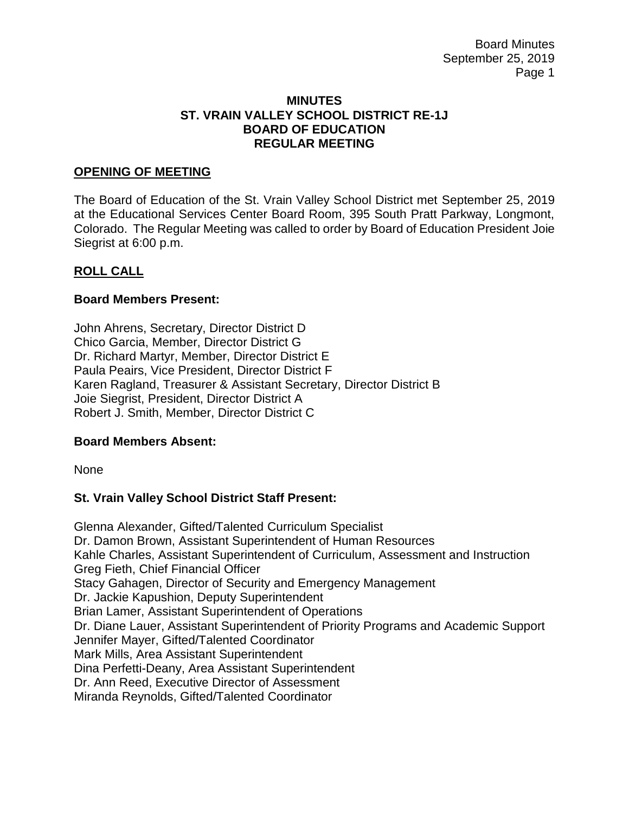#### **MINUTES ST. VRAIN VALLEY SCHOOL DISTRICT RE-1J BOARD OF EDUCATION REGULAR MEETING**

### **OPENING OF MEETING**

The Board of Education of the St. Vrain Valley School District met September 25, 2019 at the Educational Services Center Board Room, 395 South Pratt Parkway, Longmont, Colorado. The Regular Meeting was called to order by Board of Education President Joie Siegrist at 6:00 p.m.

## **ROLL CALL**

### **Board Members Present:**

John Ahrens, Secretary, Director District D Chico Garcia, Member, Director District G Dr. Richard Martyr, Member, Director District E Paula Peairs, Vice President, Director District F Karen Ragland, Treasurer & Assistant Secretary, Director District B Joie Siegrist, President, Director District A Robert J. Smith, Member, Director District C

### **Board Members Absent:**

None

# **St. Vrain Valley School District Staff Present:**

Glenna Alexander, Gifted/Talented Curriculum Specialist Dr. Damon Brown, Assistant Superintendent of Human Resources Kahle Charles, Assistant Superintendent of Curriculum, Assessment and Instruction Greg Fieth, Chief Financial Officer Stacy Gahagen, Director of Security and Emergency Management Dr. Jackie Kapushion, Deputy Superintendent Brian Lamer, Assistant Superintendent of Operations Dr. Diane Lauer, Assistant Superintendent of Priority Programs and Academic Support Jennifer Mayer, Gifted/Talented Coordinator Mark Mills, Area Assistant Superintendent Dina Perfetti-Deany, Area Assistant Superintendent Dr. Ann Reed, Executive Director of Assessment Miranda Reynolds, Gifted/Talented Coordinator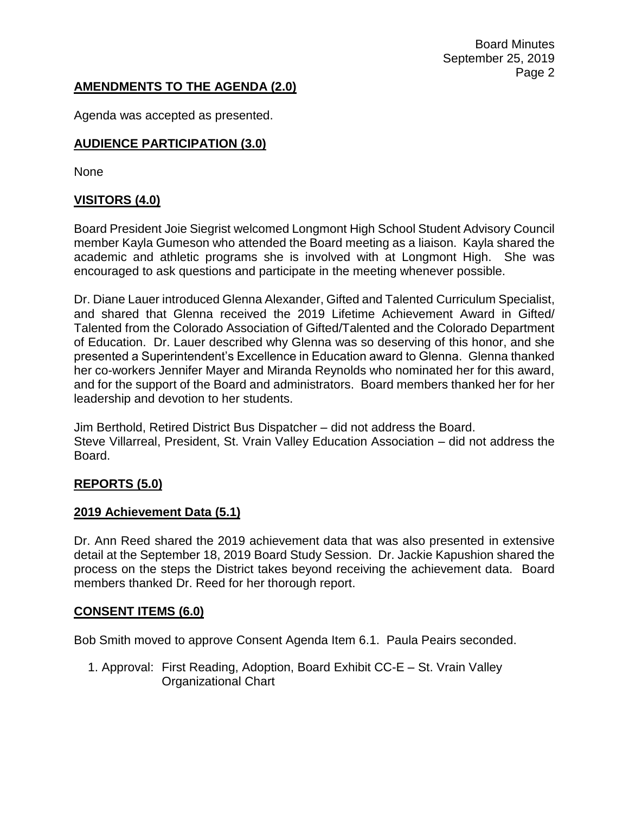Board Minutes September 25, 2019 Page 2

## **AMENDMENTS TO THE AGENDA (2.0)**

Agenda was accepted as presented.

## **AUDIENCE PARTICIPATION (3.0)**

None

## **VISITORS (4.0)**

Board President Joie Siegrist welcomed Longmont High School Student Advisory Council member Kayla Gumeson who attended the Board meeting as a liaison. Kayla shared the academic and athletic programs she is involved with at Longmont High. She was encouraged to ask questions and participate in the meeting whenever possible.

Dr. Diane Lauer introduced Glenna Alexander, Gifted and Talented Curriculum Specialist, and shared that Glenna received the 2019 Lifetime Achievement Award in Gifted/ Talented from the Colorado Association of Gifted/Talented and the Colorado Department of Education. Dr. Lauer described why Glenna was so deserving of this honor, and she presented a Superintendent's Excellence in Education award to Glenna. Glenna thanked her co-workers Jennifer Mayer and Miranda Reynolds who nominated her for this award, and for the support of the Board and administrators. Board members thanked her for her leadership and devotion to her students.

Jim Berthold, Retired District Bus Dispatcher – did not address the Board. Steve Villarreal, President, St. Vrain Valley Education Association – did not address the Board.

### **REPORTS (5.0)**

### **2019 Achievement Data (5.1)**

Dr. Ann Reed shared the 2019 achievement data that was also presented in extensive detail at the September 18, 2019 Board Study Session. Dr. Jackie Kapushion shared the process on the steps the District takes beyond receiving the achievement data. Board members thanked Dr. Reed for her thorough report.

### **CONSENT ITEMS (6.0)**

Bob Smith moved to approve Consent Agenda Item 6.1. Paula Peairs seconded.

1. Approval: First Reading, Adoption, Board Exhibit CC-E – St. Vrain Valley Organizational Chart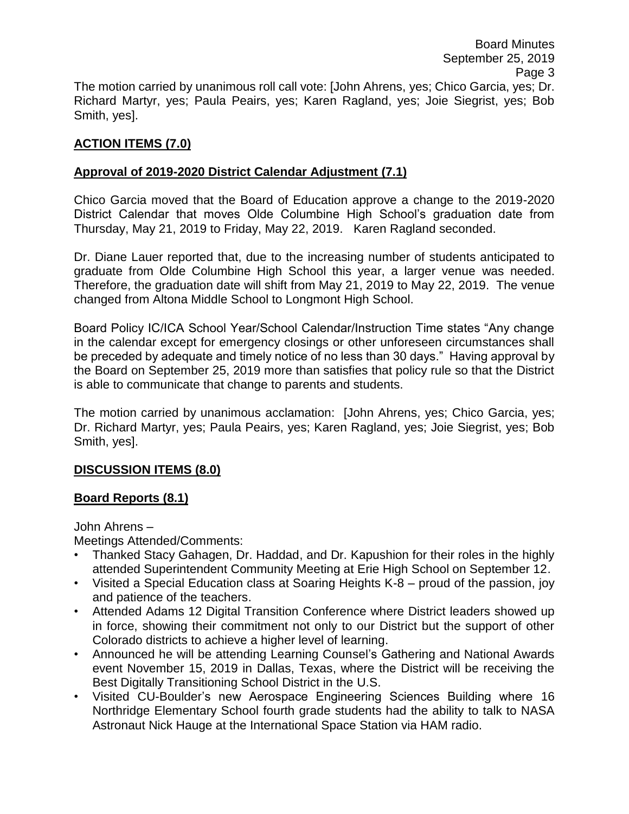# **ACTION ITEMS (7.0)**

# **Approval of 2019-2020 District Calendar Adjustment (7.1)**

Chico Garcia moved that the Board of Education approve a change to the 2019-2020 District Calendar that moves Olde Columbine High School's graduation date from Thursday, May 21, 2019 to Friday, May 22, 2019. Karen Ragland seconded.

Dr. Diane Lauer reported that, due to the increasing number of students anticipated to graduate from Olde Columbine High School this year, a larger venue was needed. Therefore, the graduation date will shift from May 21, 2019 to May 22, 2019. The venue changed from Altona Middle School to Longmont High School.

Board Policy IC/ICA School Year/School Calendar/Instruction Time states "Any change in the calendar except for emergency closings or other unforeseen circumstances shall be preceded by adequate and timely notice of no less than 30 days." Having approval by the Board on September 25, 2019 more than satisfies that policy rule so that the District is able to communicate that change to parents and students.

The motion carried by unanimous acclamation: [John Ahrens, yes; Chico Garcia, yes; Dr. Richard Martyr, yes; Paula Peairs, yes; Karen Ragland, yes; Joie Siegrist, yes; Bob Smith, yes].

# **DISCUSSION ITEMS (8.0)**

# **Board Reports (8.1)**

John Ahrens –

Meetings Attended/Comments:

- Thanked Stacy Gahagen, Dr. Haddad, and Dr. Kapushion for their roles in the highly attended Superintendent Community Meeting at Erie High School on September 12.
- Visited a Special Education class at Soaring Heights K-8 proud of the passion, joy and patience of the teachers.
- Attended Adams 12 Digital Transition Conference where District leaders showed up in force, showing their commitment not only to our District but the support of other Colorado districts to achieve a higher level of learning.
- Announced he will be attending Learning Counsel's Gathering and National Awards event November 15, 2019 in Dallas, Texas, where the District will be receiving the Best Digitally Transitioning School District in the U.S.
- Visited CU-Boulder's new Aerospace Engineering Sciences Building where 16 Northridge Elementary School fourth grade students had the ability to talk to NASA Astronaut Nick Hauge at the International Space Station via HAM radio.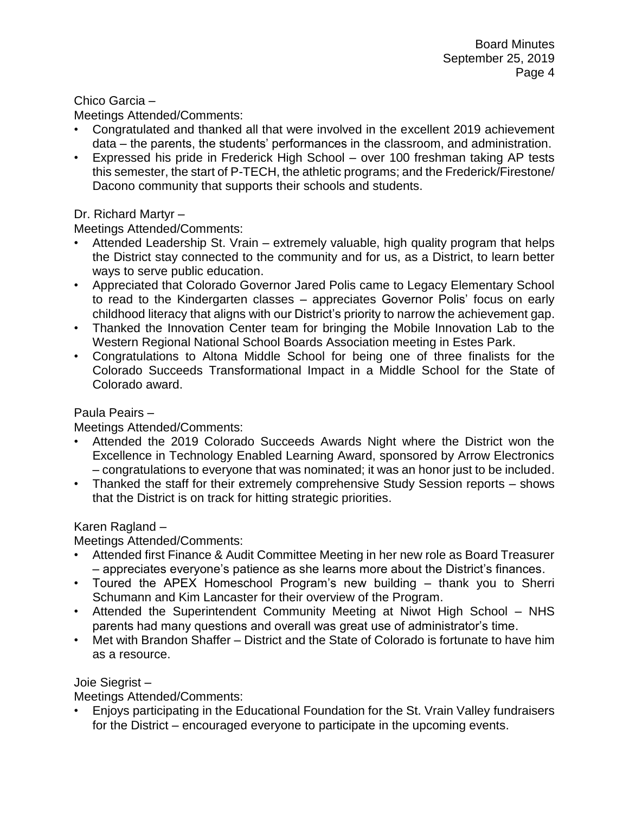### Chico Garcia –

Meetings Attended/Comments:

- Congratulated and thanked all that were involved in the excellent 2019 achievement data – the parents, the students' performances in the classroom, and administration.
- Expressed his pride in Frederick High School over 100 freshman taking AP tests this semester, the start of P-TECH, the athletic programs; and the Frederick/Firestone/ Dacono community that supports their schools and students.

### Dr. Richard Martyr –

Meetings Attended/Comments:

- Attended Leadership St. Vrain extremely valuable, high quality program that helps the District stay connected to the community and for us, as a District, to learn better ways to serve public education.
- Appreciated that Colorado Governor Jared Polis came to Legacy Elementary School to read to the Kindergarten classes – appreciates Governor Polis' focus on early childhood literacy that aligns with our District's priority to narrow the achievement gap.
- Thanked the Innovation Center team for bringing the Mobile Innovation Lab to the Western Regional National School Boards Association meeting in Estes Park.
- Congratulations to Altona Middle School for being one of three finalists for the Colorado Succeeds Transformational Impact in a Middle School for the State of Colorado award.

### Paula Peairs –

Meetings Attended/Comments:

- Attended the 2019 Colorado Succeeds Awards Night where the District won the Excellence in Technology Enabled Learning Award, sponsored by Arrow Electronics – congratulations to everyone that was nominated; it was an honor just to be included.
- Thanked the staff for their extremely comprehensive Study Session reports shows that the District is on track for hitting strategic priorities.

### Karen Ragland –

Meetings Attended/Comments:

- Attended first Finance & Audit Committee Meeting in her new role as Board Treasurer – appreciates everyone's patience as she learns more about the District's finances.
- Toured the APEX Homeschool Program's new building thank you to Sherri Schumann and Kim Lancaster for their overview of the Program.
- Attended the Superintendent Community Meeting at Niwot High School NHS parents had many questions and overall was great use of administrator's time.
- Met with Brandon Shaffer District and the State of Colorado is fortunate to have him as a resource.

### Joie Siegrist –

Meetings Attended/Comments:

• Enjoys participating in the Educational Foundation for the St. Vrain Valley fundraisers for the District – encouraged everyone to participate in the upcoming events.